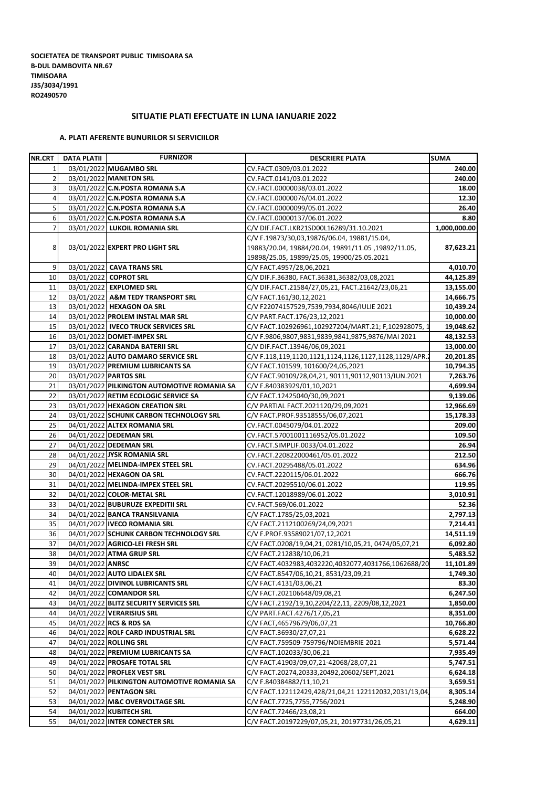## **SITUATIE PLATI EFECTUATE IN LUNA IANUARIE 2022**

## **A. PLATI AFERENTE BUNURILOR SI SERVICIILOR**

| NR.CRT         | DATA PLATII      | <b>FURNIZOR</b>                             | <b>DESCRIERE PLATA</b>                                                             | <b>SUMA</b>            |
|----------------|------------------|---------------------------------------------|------------------------------------------------------------------------------------|------------------------|
| 1              |                  | 03/01/2022 MUGAMBO SRL                      | CV.FACT.0309/03.01.2022                                                            | 240.00                 |
| $\overline{2}$ |                  | 03/01/2022 MANETON SRL                      | CV.FACT.0141/03.01.2022                                                            | 240.00                 |
| 3              |                  | 03/01/2022 C.N.POSTA ROMANA S.A             | CV.FACT.00000038/03.01.2022                                                        | 18.00                  |
| $\overline{4}$ |                  | 03/01/2022 C.N.POSTA ROMANA S.A             | CV.FACT.00000076/04.01.2022                                                        | 12.30                  |
| 5              |                  | 03/01/2022 C.N.POSTA ROMANA S.A             | CV.FACT.00000099/05.01.2022                                                        | 26.40                  |
| 6              |                  | 03/01/2022 C.N.POSTA ROMANA S.A             | CV.FACT.00000137/06.01.2022                                                        | 8.80                   |
| $\overline{7}$ |                  | 03/01/2022 LUKOIL ROMANIA SRL               | C/V DIF.FACT.LKR21SD00L16289/31.10.2021                                            | 1,000,000.00           |
|                |                  |                                             | C/V F.19873/30,03,19876/06.04, 19881/15.04,                                        |                        |
| 8              |                  | 03/01/2022 EXPERT PRO LIGHT SRL             | 19883/20.04, 19884/20.04, 19891/11.05, 19892/11.05,                                | 87,623.21              |
|                |                  |                                             | 19898/25.05, 19899/25.05, 19900/25.05.2021                                         |                        |
| 9              |                  | 03/01/2022 CAVA TRANS SRL                   | C/V FACT.4957/28,06,2021                                                           | 4,010.70               |
| 10             |                  | 03/01/2022 COPROT SRL                       | C/V DIF.F.36380, FACT.36381,36382/03,08,2021                                       | 44,125.89              |
| 11             |                  | 03/01/2022 EXPLOMED SRL                     | C/V DIF.FACT.21584/27,05,21, FACT.21642/23,06,21                                   | 13,155.00              |
| 12             |                  | 03/01/2022 A&M TEDY TRANSPORT SRL           | C/V FACT.161/30,12,2021                                                            | 14,666.75              |
| 13             |                  | 03/01/2022 HEXAGON OA SRL                   | C/V F22074157529,7539,7934,8046/IULIE 2021                                         | 10,439.24              |
| 14             |                  | 03/01/2022 PROLEM INSTAL MAR SRL            | C/V PART.FACT.176/23,12,2021                                                       | 10,000.00              |
| 15             |                  | 03/01/2022   IVECO TRUCK SERVICES SRL       | C/V FACT.102926961,102927204/MART.21; F,102928075, 1                               |                        |
| 16             |                  |                                             |                                                                                    | 19,048.62<br>48,132.53 |
| 17             |                  | 03/01/2022 DOMET-IMPEX SRL                  | C/V F.9806,9807,9831,9839,9841,9875,9876/MAI 2021<br>C/V DIF.FACT.13946/06,09,2021 |                        |
|                |                  | 03/01/2022 CARANDA BATERII SRL              |                                                                                    | 13,000.00              |
| 18             |                  | 03/01/2022 AUTO DAMARO SERVICE SRL          | C/V F.118,119,1120,1121,1124,1126,1127,1128,1129/APR.                              | 20,201.85              |
| 19             |                  | 03/01/2022 PREMIUM LUBRICANTS SA            | C/V FACT.101599, 101600/24,05,2021                                                 | 10,794.35              |
| 20             |                  | 03/01/2022 PARTOS SRL                       | C/V FACT.90109/28,04,21, 90111,90112,90113/IUN.2021                                | 7,263.76               |
| 21             |                  | 03/01/2022 PILKINGTON AUTOMOTIVE ROMANIA SA | C/V F.840383929/01,10,2021                                                         | 4.699.94               |
| 22             |                  | 03/01/2022 RETIM ECOLOGIC SERVICE SA        | C/V FACT.12425040/30,09,2021                                                       | 9,139.06               |
| 23             |                  | 03/01/2022 HEXAGON CREATION SRL             | C/V PARTIAL FACT.2021120/29,09,2021                                                | 12,966.69              |
| 24             |                  | 03/01/2022 SCHUNK CARBON TECHNOLOGY SRL     | C/V FACT.PROF.93518555/06,07,2021                                                  | 15,178.33              |
| 25             |                  | 04/01/2022 ALTEX ROMANIA SRL                | CV.FACT.0045079/04.01.2022                                                         | 209.00                 |
| 26             |                  | 04/01/2022 DEDEMAN SRL                      | CV.FACT.57001001116952/05.01.2022                                                  | 109.50                 |
| 27             |                  | 04/01/2022 DEDEMAN SRL                      | CV.FACT.SIMPLIF.0033/04.01.2022                                                    | 26.94                  |
| 28             |                  | 04/01/2022 JYSK ROMANIA SRL                 | CV.FACT.220822000461/05.01.2022                                                    | 212.50                 |
| 29             |                  | 04/01/2022 MELINDA-IMPEX STEEL SRL          | CV.FACT.20295488/05.01.2022                                                        | 634.96                 |
| 30             |                  | 04/01/2022 HEXAGON OA SRL                   | CV.FACT.2220115/06.01.2022                                                         | 666.76                 |
| 31             |                  | 04/01/2022 MELINDA-IMPEX STEEL SRL          | CV.FACT.20295510/06.01.2022                                                        | 119.95                 |
| 32             |                  | 04/01/2022 COLOR-METAL SRL                  | CV.FACT.12018989/06.01.2022                                                        | 3,010.91               |
| 33             |                  | 04/01/2022 BUBURUZE EXPEDITII SRL           | CV.FACT.569/06.01.2022                                                             | 52.36                  |
| 34             |                  | 04/01/2022 BANCA TRANSILVANIA               | C/V FACT.1785/25,03,2021                                                           | 2,797.13               |
| 35             |                  | 04/01/2022 IVECO ROMANIA SRL                | C/V FACT.2112100269/24,09,2021                                                     | 7,214.41               |
| 36             |                  | 04/01/2022 SCHUNK CARBON TECHNOLOGY SRL     | C/V F.PROF.93589021/07,12,2021                                                     | 14,511.19              |
| 37             |                  | 04/01/2022 AGRICO-LEI FRESH SRL             | C/V FACT.0208/19,04,21, 0281/10,05,21, 0474/05,07,21                               | 6,092.80               |
| 38             |                  | 04/01/2022 ATMA GRUP SRL                    | C/V FACT.212838/10,06,21                                                           | 5,483.52               |
| 39             | 04/01/2022 ANRSC |                                             | C/V FACT.4032983,4032220,4032077,4031766,1062688/20                                | 11,101.89              |
| 40             |                  | 04/01/2022 AUTO LIDALEX SRL                 | C/V FACT.8547/06,10,21, 8531/23,09,21                                              | 1,749.30               |
| 41             |                  | 04/01/2022 DIVINOL LUBRICANTS SRL           | C/V FACT.4131/03,06,21                                                             | 83.30                  |
| 42             |                  | 04/01/2022 COMANDOR SRL                     | C/V FACT.202106648/09,08,21                                                        | 6,247.50               |
| 43             |                  | 04/01/2022 BLITZ SECURITY SERVICES SRL      | C/V FACT.2192/19,10,2204/22,11, 2209/08,12,2021                                    | 1,850.00               |
| 44             |                  | 04/01/2022 VERARISIUS SRL                   | C/V PART.FACT.4276/17,05,21                                                        | 8,351.00               |
| 45             |                  | 04/01/2022 RCS & RDS SA                     | C/V FACT,46579679/06,07,21                                                         | 10,766.80              |
| 46             |                  | 04/01/2022 ROLF CARD INDUSTRIAL SRL         | C/V FACT.36930/27,07,21                                                            | 6,628.22               |
|                |                  |                                             |                                                                                    |                        |
| 47             |                  | 04/01/2022 ROLLING SRL                      | C/V FACT.759509-759796/NOIEMBRIE 2021                                              | 5,571.44               |
| 48             |                  | 04/01/2022 PREMIUM LUBRICANTS SA            | C/V FACT.102033/30,06,21                                                           | 7,935.49               |
| 49             |                  | 04/01/2022 PROSAFE TOTAL SRL                | C/V FACT.41903/09,07,21-42068/28,07,21                                             | 5,747.51               |
| 50             |                  | 04/01/2022 PROFLEX VEST SRL                 | C/V FACT.20274,20333,20492,20602/SEPT,2021                                         | 6,624.18               |
| 51             |                  | 04/01/2022 PILKINGTON AUTOMOTIVE ROMANIA SA | C/V F.840384882/11,10,21                                                           | 3,659.51               |
| 52             |                  | 04/01/2022 PENTAGON SRL                     | C/V FACT.122112429,428/21,04,21 122112032,2031/13,04,                              | 8,305.14               |
| 53             |                  | 04/01/2022 M&C OVERVOLTAGE SRL              | C/V FACT.7725,7755,7756/2021                                                       | 5,248.90               |
| 54             |                  | 04/01/2022 KUBITECH SRL                     | C/V FACT.72466/23,08,21                                                            | 664.00                 |
| 55             |                  | 04/01/2022 INTER CONECTER SRL               | C/V FACT.20197229/07,05,21, 20197731/26,05,21                                      | 4,629.11               |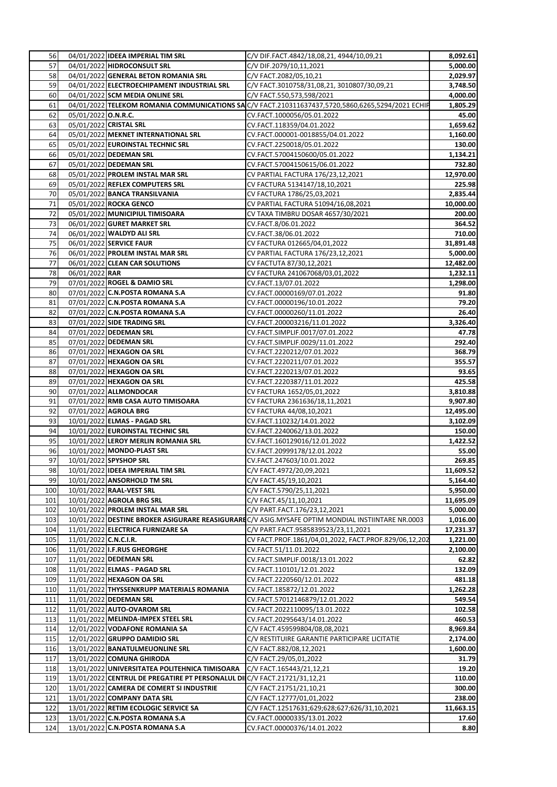| 56       |                       | 04/01/2022 IDEEA IMPERIAL TIM SRL                                       | C/V DIF.FACT.4842/18,08,21, 4944/10,09,21                                                        | 8,092.61        |
|----------|-----------------------|-------------------------------------------------------------------------|--------------------------------------------------------------------------------------------------|-----------------|
| 57       |                       | 04/01/2022 HIDROCONSULT SRL                                             | C/V DIF.2079/10,11,2021                                                                          | 5,000.00        |
| 58       |                       | 04/01/2022 GENERAL BETON ROMANIA SRL                                    | C/V FACT.2082/05,10,21                                                                           | 2,029.97        |
| 59       |                       | 04/01/2022 ELECTROECHIPAMENT INDUSTRIAL SRL                             | C/V FACT.3010758/31,08,21, 3010807/30,09,21                                                      | 3,748.50        |
| 60       |                       | 04/01/2022 SCM MEDIA ONLINE SRL                                         | C/V FACT.550,573,598/2021                                                                        | 4,000.00        |
| 61       |                       |                                                                         | 04/01/2022 TELEKOM ROMANIA COMMUNICATIONS SAC/V FACT.210311637437,5720,5860,6265,5294/2021 ECHIP | 1,805.29        |
| 62       | 05/01/2022 O.N.R.C.   |                                                                         | CV.FACT.1000056/05.01.2022                                                                       | 45.00           |
| 63       |                       | 05/01/2022 CRISTAL SRL                                                  | CV.FACT.118359/04.01.2022                                                                        | 1,659.62        |
| 64       |                       | 05/01/2022 MEKNET INTERNATIONAL SRL                                     | CV.FACT.000001-0018855/04.01.2022                                                                | 1,160.00        |
| 65       |                       | 05/01/2022 EUROINSTAL TECHNIC SRL                                       | CV.FACT.2250018/05.01.2022                                                                       | 130.00          |
| 66       |                       | 05/01/2022 DEDEMAN SRL                                                  | CV.FACT.57004150600/05.01.2022                                                                   | 1,134.21        |
| 67       |                       | 05/01/2022 DEDEMAN SRL                                                  | CV.FACT.57004150615/06.01.2022                                                                   | 732.80          |
| 68       |                       | 05/01/2022 PROLEM INSTAL MAR SRL                                        | CV PARTIAL FACTURA 176/23,12,2021                                                                | 12,970.00       |
| 69       |                       | 05/01/2022 REFLEX COMPUTERS SRL                                         | CV FACTURA 5134147/18,10,2021                                                                    | 225.98          |
| 70       |                       | 05/01/2022 BANCA TRANSILVANIA                                           | CV FACTURA 1786/25,03,2021                                                                       | 2,835.44        |
| 71       |                       | 05/01/2022 ROCKA GENCO                                                  | CV PARTIAL FACTURA 51094/16,08,2021                                                              | 10,000.00       |
| 72       |                       | 05/01/2022 MUNICIPIUL TIMISOARA                                         | CV TAXA TIMBRU DOSAR 4657/30/2021                                                                | 200.00          |
| 73       |                       | 06/01/2022 GURET MARKET SRL                                             | CV.FACT.8/06.01.2022                                                                             | 364.52          |
| 74       |                       | 06/01/2022 WALDYD ALI SRL                                               | CV.FACT.38/06.01.2022                                                                            | 710.00          |
| 75       |                       | 06/01/2022 SERVICE FAUR                                                 | CV FACTURA 012665/04,01,2022                                                                     | 31,891.48       |
| 76       |                       | 06/01/2022 PROLEM INSTAL MAR SRL                                        | CV PARTIAL FACTURA 176/23,12,2021                                                                | 5,000.00        |
| 77       |                       | 06/01/2022 CLEAN CAR SOLUTIONS                                          | CV FACTUTA 87/30,12,2021                                                                         | 12,482.00       |
| 78       | 06/01/2022 RAR        |                                                                         | CV FACTURA 241067068/03,01,2022                                                                  | 1,232.11        |
| 79       |                       | 07/01/2022 ROGEL & DAMIO SRL                                            | CV.FACT.13/07.01.2022                                                                            | 1,298.00        |
| 80<br>81 |                       | 07/01/2022 C.N.POSTA ROMANA S.A                                         | CV.FACT.00000169/07.01.2022                                                                      | 91.80           |
| 82       |                       | 07/01/2022 C.N.POSTA ROMANA S.A<br>07/01/2022 C.N.POSTA ROMANA S.A      | CV.FACT.00000196/10.01.2022                                                                      | 79.20<br>26.40  |
| 83       |                       | 07/01/2022 SIDE TRADING SRL                                             | CV.FACT.00000260/11.01.2022                                                                      |                 |
| 84       |                       | 07/01/2022 DEDEMAN SRL                                                  | CV.FACT.200003216/11.01.2022<br>CV.FACT.SIMPLIF.0017/07.01.2022                                  | 3,326.40        |
| 85       |                       | 07/01/2022 DEDEMAN SRL                                                  | CV.FACT.SIMPLIF.0029/11.01.2022                                                                  | 47.78<br>292.40 |
| 86       |                       | 07/01/2022 HEXAGON OA SRL                                               | CV.FACT.2220212/07.01.2022                                                                       | 368.79          |
| 87       |                       | 07/01/2022 HEXAGON OA SRL                                               | CV.FACT.2220211/07.01.2022                                                                       | 355.57          |
| 88       |                       | 07/01/2022 HEXAGON OA SRL                                               | CV.FACT.2220213/07.01.2022                                                                       | 93.65           |
| 89       |                       | 07/01/2022 HEXAGON OA SRL                                               | CV.FACT.2220387/11.01.2022                                                                       | 425.58          |
| 90       |                       | 07/01/2022 ALLMONDOCAR                                                  | CV FACTURA 1652/05,01,2022                                                                       | 3,810.88        |
| 91       |                       | 07/01/2022 RMB CASA AUTO TIMISOARA                                      | CV FACTURA 2361636/18,11,2021                                                                    | 9,907.80        |
| 92       |                       | 07/01/2022 AGROLA BRG                                                   | CV FACTURA 44/08,10,2021                                                                         | 12,495.00       |
| 93       |                       | 10/01/2022 ELMAS - PAGAD SRL                                            | CV.FACT.110232/14.01.2022                                                                        | 3,102.09        |
| 94       |                       | 10/01/2022 EUROINSTAL TECHNIC SRL                                       | CV.FACT.2240062/13.01.2022                                                                       | 150.00          |
| 95       |                       | 10/01/2022 LEROY MERLIN ROMANIA SRL                                     | CV.FACT.160129016/12.01.2022                                                                     | 1,422.52        |
| 96       |                       | 10/01/2022 MONDO-PLAST SRL                                              | CV.FACT.20999178/12.01.2022                                                                      | 55.00           |
| 97       |                       | 10/01/2022 SPYSHOP SRL                                                  | CV.FACT.247603/10.01.2022                                                                        | 269.85          |
| 98       |                       | 10/01/2022 IDEEA IMPERIAL TIM SRL                                       | C/V FACT.4972/20,09,2021                                                                         | 11,609.52       |
| 99       |                       | 10/01/2022 ANSORHOLD TM SRL                                             | C/V FACT.45/19,10,2021                                                                           | 5,164.40        |
| 100      |                       | 10/01/2022 RAAL-VEST SRL                                                | C/V FACT.5790/25,11,2021                                                                         | 5,950.00        |
| 101      |                       | 10/01/2022 AGROLA BRG SRL                                               | C/V FACT.45/11,10,2021                                                                           | 11,695.09       |
| 102      |                       | 10/01/2022 PROLEM INSTAL MAR SRL                                        | C/V PART.FACT.176/23,12,2021                                                                     | 5,000.00        |
| 103      |                       |                                                                         | 10/01/2022 DESTINE BROKER ASIGURARE REASIGURAREC/V ASIG.MYSAFE OPTIM MONDIAL INSTIINTARE NR.0003 | 1,016.00        |
| 104      |                       | 11/01/2022 ELECTRICA FURNIZARE SA                                       | C/V PART.FACT.9585839523/23,11,2021                                                              | 17,231.37       |
| 105      | 11/01/2022 C.N.C.I.R. |                                                                         | CV FACT.PROF.1861/04,01,2022, FACT.PROF.829/06,12,202                                            | 1,221.00        |
| 106      |                       | 11/01/2022 I.F.RUS GHEORGHE                                             | CV.FACT.51/11.01.2022                                                                            | 2,100.00        |
| 107      |                       | 11/01/2022 DEDEMAN SRL                                                  | CV.FACT.SIMPLIF.0018/13.01.2022                                                                  | 62.82           |
| 108      |                       | 11/01/2022 ELMAS - PAGAD SRL                                            | CV.FACT.110101/12.01.2022                                                                        | 132.09          |
| 109      |                       | 11/01/2022 HEXAGON OA SRL                                               | CV.FACT.2220560/12.01.2022                                                                       | 481.18          |
| 110      |                       | 11/01/2022 THYSSENKRUPP MATERIALS ROMANIA                               | CV.FACT.185872/12.01.2022                                                                        | 1,262.28        |
| 111      |                       | 11/01/2022 DEDEMAN SRL                                                  | CV.FACT.57012146879/12.01.2022                                                                   | 549.54          |
| 112      |                       | 11/01/2022 AUTO-OVAROM SRL                                              | CV.FACT.2022110095/13.01.2022                                                                    | 102.58          |
| 113      |                       | 11/01/2022 MELINDA-IMPEX STEEL SRL                                      | CV.FACT.20295643/14.01.2022                                                                      | 460.53          |
| 114      |                       | 12/01/2022 VODAFONE ROMANIA SA                                          | C/V FACT.459599804/08,08,2021                                                                    | 8,969.84        |
| 115      |                       | 12/01/2022 GRUPPO DAMIDIO SRL                                           | C/V RESTITUIRE GARANTIE PARTICIPARE LICITATIE                                                    | 2,174.00        |
| 116      |                       | 13/01/2022 BANATULMEUONLINE SRL                                         | C/V FACT.882/08,12,2021                                                                          | 1,600.00        |
| 117      |                       | 13/01/2022 COMUNA GHIRODA                                               | C/V FACT.29/05,01,2022                                                                           | 31.79           |
| 118      |                       | 13/01/2022 UNIVERSITATEA POLITEHNICA TIMISOARA                          | C/V FACT.165443/21,12,21                                                                         | 19.20           |
| 119      |                       | 13/01/2022 CENTRUL DE PREGATIRE PT PERSONALUL DIC/V FACT.21721/31,12,21 |                                                                                                  | 110.00          |
| 120      |                       | 13/01/2022 CAMERA DE COMERT SI INDUSTRIE                                | C/V FACT.21751/21,10,21                                                                          | 300.00          |
| 121      |                       | 13/01/2022 COMPANY DATA SRL                                             | C/V FACT.12777/01,01,2022                                                                        | 238.00          |
| 122      |                       | 13/01/2022 RETIM ECOLOGIC SERVICE SA                                    | C/V FACT.12517631;629;628;627;626/31,10,2021                                                     | 11,663.15       |
| 123      |                       | 13/01/2022 C.N.POSTA ROMANA S.A                                         | CV.FACT.00000335/13.01.2022                                                                      | 17.60           |
| 124      |                       | 13/01/2022 C.N.POSTA ROMANA S.A                                         | CV.FACT.00000376/14.01.2022                                                                      | 8.80            |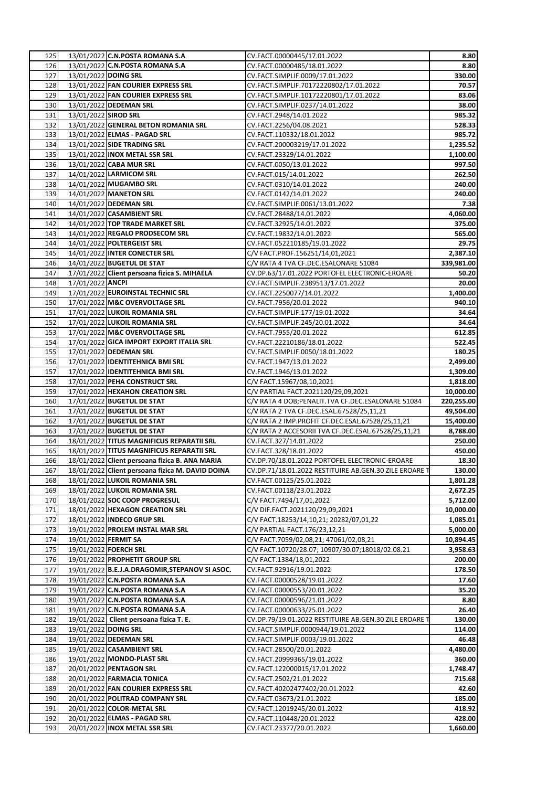|            |                             | 13/01/2022 C.N.POSTA ROMANA S.A                                                        | CV.FACT.00000445/17.01.2022                                              | 8.80               |
|------------|-----------------------------|----------------------------------------------------------------------------------------|--------------------------------------------------------------------------|--------------------|
| 126        |                             | 13/01/2022 C.N.POSTA ROMANA S.A                                                        | CV.FACT.00000485/18.01.2022                                              | 8.80               |
| 127        | 13/01/2022 DOING SRL        |                                                                                        | CV.FACT.SIMPLIF.0009/17.01.2022                                          | 330.00             |
| 128        |                             | 13/01/2022 FAN COURIER EXPRESS SRL                                                     | CV.FACT.SIMPLIF.70172220802/17.01.2022                                   | 70.57              |
| 129        |                             | 13/01/2022 FAN COURIER EXPRESS SRL                                                     | CV.FACT.SIMPLIF.10172220801/17.01.2022                                   | 83.06              |
| 130        |                             | 13/01/2022 DEDEMAN SRL                                                                 | CV.FACT.SIMPLIF.0237/14.01.2022                                          | 38.00              |
| 131        | 13/01/2022 SIROD SRL        |                                                                                        | CV.FACT.2948/14.01.2022                                                  | 985.32             |
| 132        |                             | 13/01/2022 GENERAL BETON ROMANIA SRL                                                   | CV.FACT.2256/04.08.2021                                                  | 528.33             |
| 133        |                             | 13/01/2022 ELMAS - PAGAD SRL                                                           | CV.FACT.110332/18.01.2022                                                | 985.72             |
| 134        |                             | 13/01/2022 SIDE TRADING SRL                                                            | CV.FACT.200003219/17.01.2022                                             | 1,235.52           |
| 135        |                             | 13/01/2022 INOX METAL SSR SRL                                                          | CV.FACT.23329/14.01.2022                                                 | 1,100.00           |
| 136        |                             | 13/01/2022 CABA MUR SRL                                                                | CV.FACT.0050/13.01.2022                                                  | 997.50             |
| 137        |                             | 14/01/2022 LARMICOM SRL                                                                | CV.FACT.015/14.01.2022                                                   | 262.50             |
| 138        |                             | 14/01/2022 MUGAMBO SRL                                                                 | CV.FACT.0310/14.01.2022                                                  | 240.00             |
| 139        |                             | 14/01/2022 MANETON SRL                                                                 | CV.FACT.0142/14.01.2022                                                  | 240.00             |
| 140        |                             | 14/01/2022 DEDEMAN SRL                                                                 | CV.FACT.SIMPLIF.0061/13.01.2022                                          | 7.38               |
| 141        |                             | 14/01/2022 CASAMBIENT SRL                                                              | CV.FACT.28488/14.01.2022                                                 | 4,060.00           |
| 142        |                             | 14/01/2022 TOP TRADE MARKET SRL                                                        | CV.FACT.32925/14.01.2022                                                 | 375.00             |
| 143        |                             | 14/01/2022 REGALO PRODSECOM SRL                                                        | CV.FACT.19832/14.01.2022                                                 | 565.00             |
| 144        |                             | 14/01/2022 POLTERGEIST SRL                                                             | CV.FACT.052210185/19.01.2022                                             | 29.75              |
| 145        |                             | 14/01/2022 INTER CONECTER SRL                                                          | C/V FACT.PROF.156251/14,01,2021                                          | 2,387.10           |
| 146        |                             | 14/01/2022 BUGETUL DE STAT                                                             | C/V RATA 4 TVA CF.DEC.ESALONARE 51084                                    | 339,981.00         |
| 147        |                             | 17/01/2022 Client persoana fizica S. MIHAELA                                           | CV.DP.63/17.01.2022 PORTOFEL ELECTRONIC-EROARE                           | 50.20              |
| 148        | 17/01/2022 ANCPI            |                                                                                        | CV.FACT.SIMPLIF.2389513/17.01.2022                                       | 20.00              |
| 149        |                             | 17/01/2022 EUROINSTAL TECHNIC SRL                                                      | CV.FACT.2250077/14.01.2022                                               | 1,400.00           |
| 150        |                             | 17/01/2022 M&C OVERVOLTAGE SRL                                                         | CV.FACT.7956/20.01.2022                                                  | 940.10             |
| 151        |                             | 17/01/2022 LUKOIL ROMANIA SRL                                                          | CV.FACT.SIMPLIF.177/19.01.2022                                           | 34.64              |
| 152        |                             | 17/01/2022 LUKOIL ROMANIA SRL                                                          | CV.FACT.SIMPLIF.245/20.01.2022                                           | 34.64              |
| 153        |                             | 17/01/2022 M&C OVERVOLTAGE SRL                                                         | CV.FACT.7955/20.01.2022                                                  | 612.85             |
| 154        |                             | 17/01/2022 GICA IMPORT EXPORT ITALIA SRL                                               | CV.FACT.22210186/18.01.2022                                              | 522.45             |
| 155        |                             | 17/01/2022 DEDEMAN SRL                                                                 | CV.FACT.SIMPLIF.0050/18.01.2022                                          | 180.25             |
| 156        |                             | 17/01/2022 IDENTITEHNICA BMI SRL                                                       | CV.FACT.1947/13.01.2022                                                  | 2,499.00           |
| 157        |                             | 17/01/2022 IDENTITEHNICA BMI SRL                                                       | CV.FACT.1946/13.01.2022                                                  | 1,309.00           |
| 158        |                             | 17/01/2022 PEHA CONSTRUCT SRL                                                          | C/V FACT.15967/08,10,2021                                                | 1,818.00           |
| 159        |                             | 17/01/2022 HEXAHON CREATION SRL                                                        | C/V PARTIAL FACT.2021120/29,09,2021                                      | 10,000.00          |
| 160        |                             | 17/01/2022 BUGETUL DE STAT                                                             | C/V RATA 4 DOB; PENALIT. TVA CF. DEC. ESALONARE 51084                    | 220,255.00         |
| 161        |                             | 17/01/2022 BUGETUL DE STAT                                                             | C/V RATA 2 TVA CF.DEC.ESAL.67528/25,11,21                                | 49,504.00          |
| 162        |                             | 17/01/2022 BUGETUL DE STAT                                                             | C/V RATA 2 IMP.PROFIT CF.DEC.ESAL.67528/25,11,21                         | 15,400.00          |
| 163        |                             | 17/01/2022 BUGETUL DE STAT                                                             | C/V RATA 2 ACCESORII TVA CF.DEC.ESAL.67528/25,11,21                      | 8,788.00           |
| 164        |                             | 18/01/2022 TITUS MAGNIFICUS REPARATII SRL<br>18/01/2022 TITUS MAGNIFICUS REPARATII SRL | CV.FACT.327/14.01.2022                                                   | 250.00             |
| 165<br>166 |                             | 18/01/2022 Client persoana fizica B. ANA MARIA                                         | CV.FACT.328/18.01.2022<br>CV.DP.70/18.01.2022 PORTOFEL ELECTRONIC-EROARE | 450.00<br>18.30    |
| 167        |                             |                                                                                        |                                                                          |                    |
|            |                             |                                                                                        |                                                                          |                    |
|            |                             | 18/01/2022 Client persoana fizica M. DAVID DOINA                                       | CV.DP.71/18.01.2022 RESTITUIRE AB.GEN.30 ZILE EROARE T                   | 130.00             |
| 168        |                             | 18/01/2022 LUKOIL ROMANIA SRL                                                          | CV.FACT.00125/25.01.2022                                                 | 1,801.28           |
| 169        |                             | 18/01/2022 LUKOIL ROMANIA SRL                                                          | CV.FACT.00118/23.01.2022                                                 | 2,672.25           |
| 170        |                             | 18/01/2022 SOC COOP PROGRESUL                                                          | C/V FACT.7494/17,01,2022                                                 | 5,712.00           |
| 171        |                             | 18/01/2022 HEXAGON CREATION SRL                                                        | C/V DIF.FACT.2021120/29,09,2021                                          | 10,000.00          |
| 172        |                             | 18/01/2022 INDECO GRUP SRL                                                             | C/V FACT.18253/14,10,21; 20282/07,01,22                                  | 1,085.01           |
| 173        |                             | 19/01/2022 PROLEM INSTAL MAR SRL                                                       | C/V PARTIAL FACT.176/23,12,21                                            | 5,000.00           |
| 174        | 19/01/2022 <b>FERMIT SA</b> |                                                                                        | C/V FACT.7059/02,08,21; 47061/02,08,21                                   | 10,894.45          |
| 175        |                             | 19/01/2022 FOERCH SRL                                                                  | C/V FACT.10720/28.07; 10907/30.07;18018/02.08.21                         | 3,958.63           |
| 176        |                             | 19/01/2022 PROPHETIT GROUP SRL                                                         | C/V FACT.1384/18,01,2022                                                 | 200.00             |
| 177        |                             | 19/01/2022 B.E.J.A.DRAGOMIR, STEPANOV SI ASOC.                                         | CV.FACT.92916/19.01.2022                                                 | 178.50             |
| 178        |                             | 19/01/2022 C.N.POSTA ROMANA S.A                                                        | CV.FACT.00000528/19.01.2022                                              | 17.60              |
| 179        |                             | 19/01/2022 C.N.POSTA ROMANA S.A                                                        | CV.FACT.00000553/20.01.2022                                              | 35.20              |
| 180        |                             | 19/01/2022 C.N.POSTA ROMANA S.A                                                        | CV.FACT.00000596/21.01.2022                                              | 8.80               |
| 181        |                             | 19/01/2022 C.N.POSTA ROMANA S.A                                                        | CV.FACT.00000633/25.01.2022                                              | 26.40              |
| 182        |                             | 19/01/2022 Client persoana fizica T. E.                                                | CV.DP.79/19.01.2022 RESTITUIRE AB.GEN.30 ZILE EROARE T                   | 130.00             |
| 183        | 19/01/2022 DOING SRL        |                                                                                        | CV.FACT.SIMPLIF.0000944/19.01.2022                                       | 114.00             |
| 184        |                             | 19/01/2022 DEDEMAN SRL                                                                 | CV.FACT.SIMPLIF.0003/19.01.2022                                          | 46.48              |
| 185        |                             | 19/01/2022 CASAMBIENT SRL                                                              | CV.FACT.28500/20.01.2022                                                 | 4,480.00           |
| 186<br>187 |                             | 19/01/2022 MONDO-PLAST SRL<br>20/01/2022 PENTAGON SRL                                  | CV.FACT.20999365/19.01.2022<br>CV.FACT.122000015/17.01.2022              | 360.00<br>1,748.47 |
| 188        |                             | 20/01/2022 FARMACIA TONICA                                                             | CV.FACT.2502/21.01.2022                                                  | 715.68             |
| 189        |                             | 20/01/2022 FAN COURIER EXPRESS SRL                                                     | CV.FACT.40202477402/20.01.2022                                           | 42.60              |
| 190        |                             | 20/01/2022 POLITRAD COMPANY SRL                                                        | CV.FACT.03673/21.01.2022                                                 | 185.00             |
| 191        |                             | 20/01/2022 COLOR-METAL SRL                                                             | CV.FACT.12019245/20.01.2022                                              | 418.92             |
| 192        |                             | 20/01/2022 ELMAS - PAGAD SRL                                                           | CV.FACT.110448/20.01.2022                                                | 428.00             |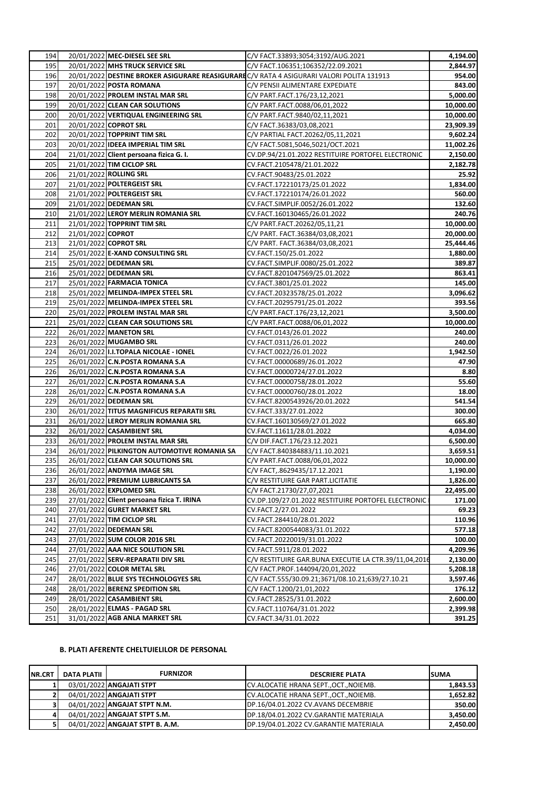| 194        |                   | 20/01/2022 MEC-DIESEL SEE SRL               | C/V FACT.33893;3054;3192/AUG.2021                                                        | 4,194.00  |
|------------|-------------------|---------------------------------------------|------------------------------------------------------------------------------------------|-----------|
| 195        |                   | 20/01/2022 MHS TRUCK SERVICE SRL            | C/V FACT.106351;106352/22.09.2021                                                        | 2,844.97  |
| 196        |                   |                                             | 20/01/2022 DESTINE BROKER ASIGURARE REASIGURAREC/V RATA 4 ASIGURARI VALORI POLITA 131913 | 954.00    |
| 197        |                   | 20/01/2022 POSTA ROMANA                     | C/V PENSII ALIMENTARE EXPEDIATE                                                          | 843.00    |
| 198        |                   | 20/01/2022 PROLEM INSTAL MAR SRL            | C/V PART.FACT.176/23,12,2021                                                             | 5,000.00  |
| 199        |                   | 20/01/2022 CLEAN CAR SOLUTIONS              | C/V PART.FACT.0088/06,01,2022                                                            | 10,000.00 |
| 200        |                   | 20/01/2022 VERTIQUAL ENGINEERING SRL        | C/V PART.FACT.9840/02,11,2021                                                            | 10,000.00 |
| 201        |                   | 20/01/2022 COPROT SRL                       | C/V FACT.36383/03,08,2021                                                                | 23,909.39 |
| 202        |                   | 20/01/2022 TOPPRINT TIM SRL                 | C/V PARTIAL FACT.20262/05,11,2021                                                        | 9,602.24  |
| 203        |                   | 20/01/2022 IDEEA IMPERIAL TIM SRL           | C/V FACT.5081,5046,5021/OCT.2021                                                         | 11,002.26 |
| 204        |                   | 21/01/2022 Client persoana fizica G. I.     | CV.DP.94/21.01.2022 RESTITUIRE PORTOFEL ELECTRONIC                                       | 2,150.00  |
| 205        |                   | 21/01/2022 TIM CICLOP SRL                   | CV.FACT.2105478/21.01.2022                                                               | 2,182.78  |
| 206        |                   | 21/01/2022 ROLLING SRL                      | CV.FACT.90483/25.01.2022                                                                 | 25.92     |
| 207        |                   | 21/01/2022 POLTERGEIST SRL                  | CV.FACT.172210173/25.01.2022                                                             | 1,834.00  |
| 208        |                   | 21/01/2022 POLTERGEIST SRL                  | CV.FACT.172210174/26.01.2022                                                             | 560.00    |
| 209        |                   | 21/01/2022 DEDEMAN SRL                      | CV.FACT.SIMPLIF.0052/26.01.2022                                                          | 132.60    |
| 210        |                   | 21/01/2022 LEROY MERLIN ROMANIA SRL         | CV.FACT.160130465/26.01.2022                                                             | 240.76    |
| 211        |                   | 21/01/2022 TOPPRINT TIM SRL                 | C/V PART.FACT.20262/05,11,21                                                             | 10,000.00 |
| 212        | 21/01/2022 COPROT |                                             | C/V PART. FACT.36384/03,08,2021                                                          | 20,000.00 |
| 213        |                   | 21/01/2022 COPROT SRL                       | C/V PART. FACT.36384/03,08,2021                                                          | 25,444.46 |
| 214        |                   | 25/01/2022 E-XAND CONSULTING SRL            | CV.FACT.150/25.01.2022                                                                   | 1,880.00  |
| 215        |                   | 25/01/2022 DEDEMAN SRL                      | CV.FACT.SIMPLIF.0080/25.01.2022                                                          | 389.87    |
|            |                   | 25/01/2022 DEDEMAN SRL                      |                                                                                          |           |
| 216<br>217 |                   |                                             | CV.FACT.8201047569/25.01.2022                                                            | 863.41    |
|            |                   | 25/01/2022 FARMACIA TONICA                  | CV.FACT.3801/25.01.2022                                                                  | 145.00    |
| 218        |                   | 25/01/2022 MELINDA-IMPEX STEEL SRL          | CV.FACT.20323578/25.01.2022                                                              | 3,096.62  |
| 219        |                   | 25/01/2022 MELINDA-IMPEX STEEL SRL          | CV.FACT.20295791/25.01.2022                                                              | 393.56    |
| 220        |                   | 25/01/2022 PROLEM INSTAL MAR SRL            | C/V PART.FACT.176/23,12,2021                                                             | 3,500.00  |
| 221        |                   | 25/01/2022 CLEAN CAR SOLUTIONS SRL          | C/V PART.FACT.0088/06,01,2022                                                            | 10,000.00 |
| 222        |                   | 26/01/2022 MANETON SRL                      | CV.FACT.0143/26.01.2022                                                                  | 240.00    |
| 223        |                   | 26/01/2022 MUGAMBO SRL                      | CV.FACT.0311/26.01.2022                                                                  | 240.00    |
| 224        |                   | 26/01/2022 II.I.TOPALA NICOLAE - IONEL      | CV.FACT.0022/26.01.2022                                                                  | 1,942.50  |
| 225        |                   | 26/01/2022 C.N.POSTA ROMANA S.A             | CV.FACT.00000689/26.01.2022                                                              | 47.90     |
| 226        |                   | 26/01/2022 C.N.POSTA ROMANA S.A             | CV.FACT.00000724/27.01.2022                                                              | 8.80      |
| 227        |                   | 26/01/2022 C.N.POSTA ROMANA S.A             | CV.FACT.00000758/28.01.2022                                                              | 55.60     |
| 228        |                   | 26/01/2022 C.N.POSTA ROMANA S.A             | CV.FACT.00000760/28.01.2022                                                              | 18.00     |
| 229        |                   | 26/01/2022 DEDEMAN SRL                      | CV.FACT.8200543926/20.01.2022                                                            | 541.54    |
| 230        |                   | 26/01/2022 TITUS MAGNIFICUS REPARATII SRL   | CV.FACT.333/27.01.2022                                                                   | 300.00    |
| 231        |                   | 26/01/2022 LEROY MERLIN ROMANIA SRL         | CV.FACT.160130569/27.01.2022                                                             | 665.80    |
| 232        |                   | 26/01/2022 CASAMBIENT SRL                   | CV.FACT.11611/28.01.2022                                                                 | 4,034.00  |
| 233        |                   | 26/01/2022 PROLEM INSTAL MAR SRL            | C/V DIF.FACT.176/23.12.2021                                                              | 6,500.00  |
| 234        |                   | 26/01/2022 PILKINGTON AUTOMOTIVE ROMANIA SA | C/V FACT.840384883/11.10.2021                                                            | 3,659.51  |
| 235        |                   | 26/01/2022 CLEAN CAR SOLUTIONS SRL          | C/V PART.FACT.0088/06,01,2022                                                            | 10,000.00 |
| 236        |                   | 26/01/2022 ANDYMA IMAGE SRL                 | C/V FACT, 8629435/17.12.2021                                                             | 1,190.00  |
| 237        |                   | 26/01/2022 PREMIUM LUBRICANTS SA            | C/V RESTITUIRE GAR PART.LICITATIE                                                        | 1,826.00  |
| 238        |                   | 26/01/2022 EXPLOMED SRL                     | C/V FACT.21730/27,07,2021                                                                | 22,495.00 |
| 239        |                   | 27/01/2022 Client persoana fizica T. IRINA  | CV.DP.109/27.01.2022 RESTITUIRE PORTOFEL ELECTRONIC                                      | 171.00    |
| 240        |                   | 27/01/2022 GURET MARKET SRL                 | CV.FACT.2/27.01.2022                                                                     | 69.23     |
| 241        |                   | 27/01/2022 TIM CICLOP SRL                   | CV.FACT.284410/28.01.2022                                                                | 110.96    |
| 242        |                   | 27/01/2022 DEDEMAN SRL                      | CV.FACT.8200544083/31.01.2022                                                            | 577.18    |
| 243        |                   | 27/01/2022 SUM COLOR 2016 SRL               | CV.FACT.20220019/31.01.2022                                                              | 100.00    |
| 244        |                   | 27/01/2022 AAA NICE SOLUTION SRL            | CV.FACT.5911/28.01.2022                                                                  | 4,209.96  |
| 245        |                   | 27/01/2022 SERV-REPARATII DIV SRL           | C/V RESTITUIRE GAR.BUNA EXECUTIE LA CTR.39/11,04,2016                                    | 2,130.00  |
| 246        |                   | 27/01/2022 COLOR METAL SRL                  | C/V FACT.PROF.144094/20,01,2022                                                          | 5,208.18  |
| 247        |                   | 28/01/2022 BLUE SYS TECHNOLOGYES SRL        | C/V FACT.555/30.09.21;3671/08.10.21;639/27.10.21                                         | 3,597.46  |
| 248        |                   | 28/01/2022 BERENZ SPEDITION SRL             | C/V FACT.1200/21,01,2022                                                                 | 176.12    |
| 249        |                   | 28/01/2022 CASAMBIENT SRL                   | CV.FACT.28525/31.01.2022                                                                 | 2,600.00  |
| 250        |                   | 28/01/2022 ELMAS - PAGAD SRL                | CV.FACT.110764/31.01.2022                                                                | 2,399.98  |
| 251        |                   | 31/01/2022 AGB ANLA MARKET SRL              | CV.FACT.34/31.01.2022                                                                    | 391.25    |
|            |                   |                                             |                                                                                          |           |

## **B. PLATI AFERENTE CHELTUIELILOR DE PERSONAL**

| <b>NR.CRT</b> | DATA PLATII | <b>FURNIZOR</b>                 | <b>DESCRIERE PLATA</b>                 | <b>SUMA</b> |
|---------------|-------------|---------------------------------|----------------------------------------|-------------|
|               |             | 03/01/2022 ANGAJATI STPT        | CV.ALOCATIE HRANA SEPT., OCT., NOIEMB. | 1,843.53    |
|               |             | 04/01/2022 ANGAJATI STPT        | CV.ALOCATIE HRANA SEPT., OCT., NOIEMB. | 1,652.82    |
|               |             | 04/01/2022 ANGAJAT STPT N.M.    | DP.16/04.01.2022 CV.AVANS DECEMBRIE    | 350.00      |
| 41            |             | 04/01/2022 ANGAJAT STPT S.M.    | DP.18/04.01.2022 CV.GARANTIE MATERIALA | 3,450.00    |
|               |             | 04/01/2022 ANGAJAT STPT B. A.M. | DP.19/04.01.2022 CV.GARANTIE MATERIALA | 2,450.00    |